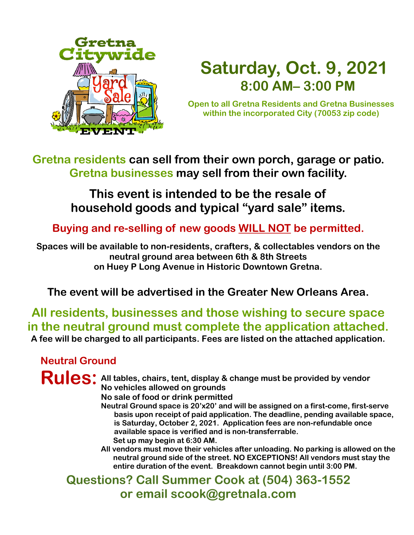

# **Saturday, Oct. 9, 2021 8:00 AM– 3:00 PM**

**Open to all Gretna Residents and Gretna Businesses within the incorporated City (70053 zip code)**

**Gretna residents can sell from their own porch, garage or patio. Gretna businesses may sell from their own facility.** 

## **This event is intended to be the resale of household goods and typical "yard sale" items.**

**Buying and re-selling of new goods WILL NOT be permitted.**

**Spaces will be available to non-residents, crafters, & collectables vendors on the neutral ground area between 6th & 8th Streets on Huey P Long Avenue in Historic Downtown Gretna.**

### **The event will be advertised in the Greater New Orleans Area.**

**All residents, businesses and those wishing to secure space in the neutral ground must complete the application attached. A fee will be charged to all participants. Fees are listed on the attached application.**

#### **Neutral Ground**

#### Rules: All tables, chairs, tent, display & change must be provided by vendor **No vehicles allowed on grounds No sale of food or drink permitted**

- **Neutral Ground space is 20'x20' and will be assigned on a first-come, first-serve basis upon receipt of paid application. The deadline, pending available space, is Saturday, October 2, 2021. Application fees are non-refundable once available space is verified and is non-transferrable. Set up may begin at 6:30 AM.**
- **All vendors must move their vehicles after unloading. No parking is allowed on the neutral ground side of the street. NO EXCEPTIONS! All vendors must stay the entire duration of the event. Breakdown cannot begin until 3:00 PM.**

**Questions? Call Summer Cook at (504) 363-1552 or email scook@gretnala.com**